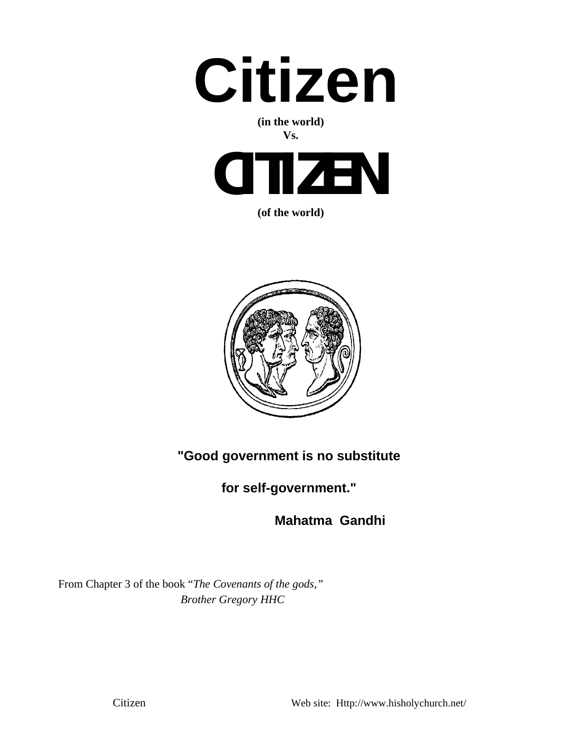

### **(in the world) Vs.**



**(of the world)**



**"Good government is no substitute** 

**for self-government."** 

 **Mahatma Gandhi**

From Chapter 3 of the book "*The Covenants of the gods," Brother Gregory HHC*

Citizen Web site: Http://www.hisholychurch.net/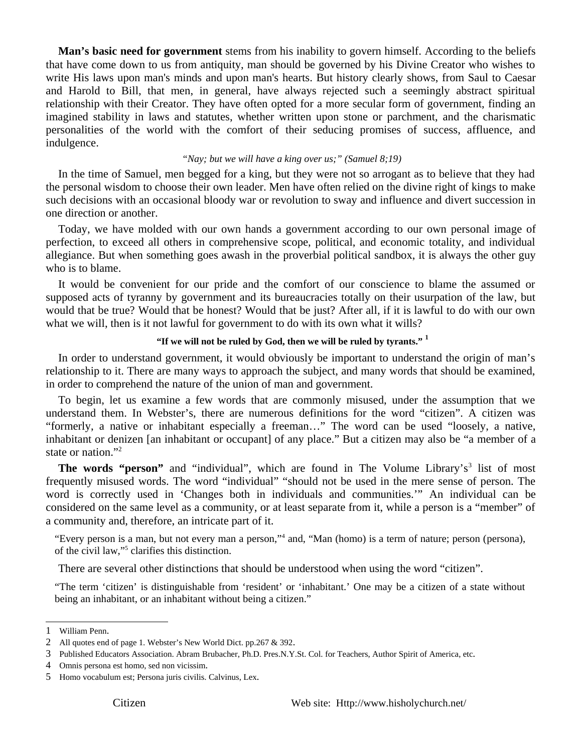**Man's basic need for government** stems from his inability to govern himself. According to the beliefs that have come down to us from antiquity, man should be governed by his Divine Creator who wishes to write His laws upon man's minds and upon man's hearts. But history clearly shows, from Saul to Caesar and Harold to Bill, that men, in general, have always rejected such a seemingly abstract spiritual relationship with their Creator. They have often opted for a more secular form of government, finding an imagined stability in laws and statutes, whether written upon stone or parchment, and the charismatic personalities of the world with the comfort of their seducing promises of success, affluence, and indulgence.

# *"Nay; but we will have a king over us;" (Samuel 8;19)*

In the time of Samuel, men begged for a king, but they were not so arrogant as to believe that they had the personal wisdom to choose their own leader. Men have often relied on the divine right of kings to make such decisions with an occasional bloody war or revolution to sway and influence and divert succession in one direction or another.

Today, we have molded with our own hands a government according to our own personal image of perfection, to exceed all others in comprehensive scope, political, and economic totality, and individual allegiance. But when something goes awash in the proverbial political sandbox, it is always the other guy who is to blame.

It would be convenient for our pride and the comfort of our conscience to blame the assumed or supposed acts of tyranny by government and its bureaucracies totally on their usurpation of the law, but would that be true? Would that be honest? Would that be just? After all, if it is lawful to do with our own what we will, then is it not lawful for government to do with its own what it wills?

### **"If we will not be ruled by God, then we will be ruled by tyrants." <sup>1</sup>**

In order to understand government, it would obviously be important to understand the origin of man's relationship to it. There are many ways to approach the subject, and many words that should be examined, in order to comprehend the nature of the union of man and government.

To begin, let us examine a few words that are commonly misused, under the assumption that we understand them. In Webster's, there are numerous definitions for the word "citizen". A citizen was "formerly, a native or inhabitant especially a freeman…" The word can be used "loosely, a native, inhabitant or denizen [an inhabitant or occupant] of any place." But a citizen may also be "a member of a state or nation."<sup>2</sup>

The words "person" and "individual", which are found in The Volume Library's<sup>3</sup> list of most frequently misused words. The word "individual" "should not be used in the mere sense of person. The word is correctly used in 'Changes both in individuals and communities.'" An individual can be considered on the same level as a community, or at least separate from it, while a person is a "member" of a community and, therefore, an intricate part of it.

"Every person is a man, but not every man a person,"4 and, "Man (homo) is a term of nature; person (persona), of the civil law,"<sup>5</sup> clarifies this distinction.

There are several other distinctions that should be understood when using the word "citizen".

"The term 'citizen' is distinguishable from 'resident' or 'inhabitant.' One may be a citizen of a state without being an inhabitant, or an inhabitant without being a citizen."

<sup>1</sup> William Penn.

<sup>2</sup> All quotes end of page 1. Webster's New World Dict. pp.267 & 392.

<sup>3</sup> Published Educators Association. Abram Brubacher, Ph.D. Pres.N.Y.St. Col. for Teachers, Author Spirit of America, etc.

<sup>4</sup> Omnis persona est homo, sed non vicissim.

<sup>5</sup> Homo vocabulum est; Persona juris civilis. Calvinus, Lex.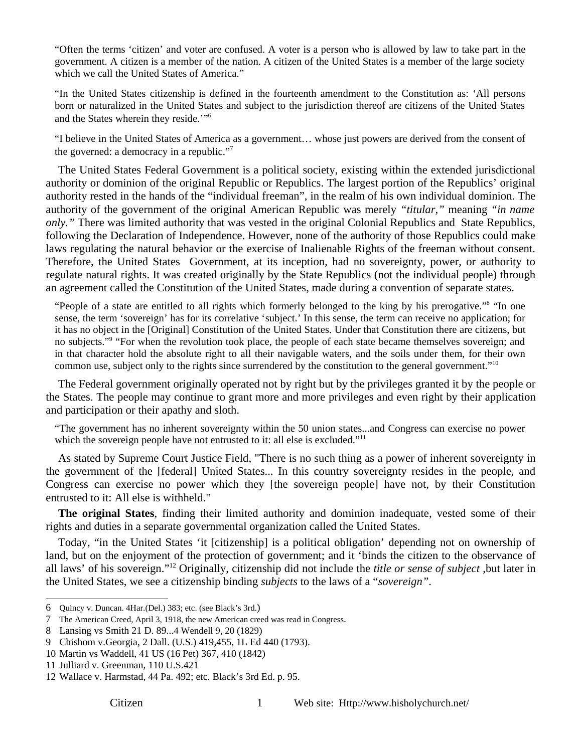"Often the terms 'citizen' and voter are confused. A voter is a person who is allowed by law to take part in the government. A citizen is a member of the nation. A citizen of the United States is a member of the large society which we call the United States of America."

"In the United States citizenship is defined in the fourteenth amendment to the Constitution as: 'All persons born or naturalized in the United States and subject to the jurisdiction thereof are citizens of the United States and the States wherein they reside.'"6

"I believe in the United States of America as a government… whose just powers are derived from the consent of the governed: a democracy in a republic."<sup>7</sup>

The United States Federal Government is a political society, existing within the extended jurisdictional authority or dominion of the original Republic or Republics. The largest portion of the Republics' original authority rested in the hands of the "individual freeman", in the realm of his own individual dominion. The authority of the government of the original American Republic was merely *"titular,"* meaning *"in name only."* There was limited authority that was vested in the original Colonial Republics and State Republics, following the Declaration of Independence. However, none of the authority of those Republics could make laws regulating the natural behavior or the exercise of Inalienable Rights of the freeman without consent. Therefore, the United States Government, at its inception, had no sovereignty, power, or authority to regulate natural rights. It was created originally by the State Republics (not the individual people) through an agreement called the Constitution of the United States, made during a convention of separate states.

"People of a state are entitled to all rights which formerly belonged to the king by his prerogative."<sup>8</sup> "In one sense, the term 'sovereign' has for its correlative 'subject.' In this sense, the term can receive no application; for it has no object in the [Original] Constitution of the United States. Under that Constitution there are citizens, but no subjects."<sup>9</sup> "For when the revolution took place, the people of each state became themselves sovereign; and in that character hold the absolute right to all their navigable waters, and the soils under them, for their own common use, subject only to the rights since surrendered by the constitution to the general government."<sup>10</sup>

The Federal government originally operated not by right but by the privileges granted it by the people or the States. The people may continue to grant more and more privileges and even right by their application and participation or their apathy and sloth.

"The government has no inherent sovereignty within the 50 union states...and Congress can exercise no power which the sovereign people have not entrusted to it: all else is excluded."<sup>11</sup>

As stated by Supreme Court Justice Field, "There is no such thing as a power of inherent sovereignty in the government of the [federal] United States... In this country sovereignty resides in the people, and Congress can exercise no power which they [the sovereign people] have not, by their Constitution entrusted to it: All else is withheld."

**The original States**, finding their limited authority and dominion inadequate, vested some of their rights and duties in a separate governmental organization called the United States.

Today, "in the United States 'it [citizenship] is a political obligation' depending not on ownership of land, but on the enjoyment of the protection of government; and it 'binds the citizen to the observance of all laws' of his sovereign."12 Originally, citizenship did not include the *title or sense of subject* ,but later in the United States, we see a citizenship binding *subjects* to the laws of a "*sovereign"*.

<sup>6</sup> Quincy v. Duncan. 4Har.(Del.) 383; etc. (see Black's 3rd.)

<sup>7</sup> The American Creed, April 3, 1918, the new American creed was read in Congress.

<sup>8</sup> Lansing vs Smith 21 D. 89...4 Wendell 9, 20 (1829)

<sup>9</sup> Chishom v.Georgia, 2 Dall. (U.S.) 419,455, 1L Ed 440 (1793).

<sup>10</sup> Martin vs Waddell, 41 US (16 Pet) 367, 410 (1842)

<sup>11</sup> Julliard v. Greenman, 110 U.S.421

<sup>12</sup> Wallace v. Harmstad, 44 Pa. 492; etc. Black's 3rd Ed. p. 95.

Citizen 1 Web site: Http://www.hisholychurch.net/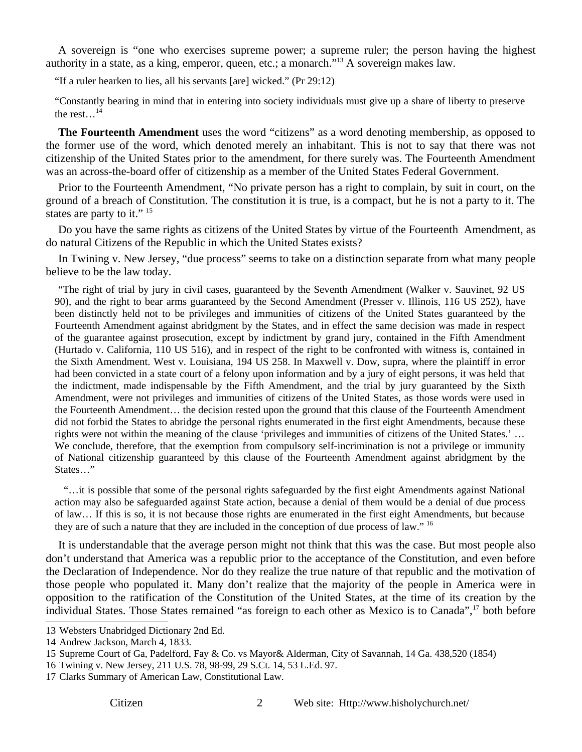A sovereign is "one who exercises supreme power; a supreme ruler; the person having the highest authority in a state, as a king, emperor, queen, etc.; a monarch."13 A sovereign makes law.

"If a ruler hearken to lies, all his servants [are] wicked." (Pr 29:12)

"Constantly bearing in mind that in entering into society individuals must give up a share of liberty to preserve the rest... $^{14}$ 

**The Fourteenth Amendment** uses the word "citizens" as a word denoting membership, as opposed to the former use of the word, which denoted merely an inhabitant. This is not to say that there was not citizenship of the United States prior to the amendment, for there surely was. The Fourteenth Amendment was an across-the-board offer of citizenship as a member of the United States Federal Government.

Prior to the Fourteenth Amendment, "No private person has a right to complain, by suit in court, on the ground of a breach of Constitution. The constitution it is true, is a compact, but he is not a party to it. The states are party to it."  $15$ 

Do you have the same rights as citizens of the United States by virtue of the Fourteenth Amendment, as do natural Citizens of the Republic in which the United States exists?

In Twining v. New Jersey, "due process" seems to take on a distinction separate from what many people believe to be the law today.

 "The right of trial by jury in civil cases, guaranteed by the Seventh Amendment (Walker v. Sauvinet, 92 US 90), and the right to bear arms guaranteed by the Second Amendment (Presser v. Illinois, 116 US 252), have been distinctly held not to be privileges and immunities of citizens of the United States guaranteed by the Fourteenth Amendment against abridgment by the States, and in effect the same decision was made in respect of the guarantee against prosecution, except by indictment by grand jury, contained in the Fifth Amendment (Hurtado v. California, 110 US 516), and in respect of the right to be confronted with witness is, contained in the Sixth Amendment. West v. Louisiana, 194 US 258. In Maxwell v. Dow, supra, where the plaintiff in error had been convicted in a state court of a felony upon information and by a jury of eight persons, it was held that the indictment, made indispensable by the Fifth Amendment, and the trial by jury guaranteed by the Sixth Amendment, were not privileges and immunities of citizens of the United States, as those words were used in the Fourteenth Amendment… the decision rested upon the ground that this clause of the Fourteenth Amendment did not forbid the States to abridge the personal rights enumerated in the first eight Amendments, because these rights were not within the meaning of the clause 'privileges and immunities of citizens of the United States.' … We conclude, therefore, that the exemption from compulsory self-incrimination is not a privilege or immunity of National citizenship guaranteed by this clause of the Fourteenth Amendment against abridgment by the States…"

 "…it is possible that some of the personal rights safeguarded by the first eight Amendments against National action may also be safeguarded against State action, because a denial of them would be a denial of due process of law… If this is so, it is not because those rights are enumerated in the first eight Amendments, but because they are of such a nature that they are included in the conception of due process of law." <sup>16</sup>

It is understandable that the average person might not think that this was the case. But most people also don't understand that America was a republic prior to the acceptance of the Constitution, and even before the Declaration of Independence. Nor do they realize the true nature of that republic and the motivation of those people who populated it. Many don't realize that the majority of the people in America were in opposition to the ratification of the Constitution of the United States, at the time of its creation by the individual States. Those States remained "as foreign to each other as Mexico is to Canada",<sup>17</sup> both before

<sup>13</sup> Websters Unabridged Dictionary 2nd Ed.

<sup>14</sup> Andrew Jackson, March 4, 1833.

<sup>15</sup> Supreme Court of Ga, Padelford, Fay & Co. vs Mayor& Alderman, City of Savannah, 14 Ga. 438,520 (1854)

<sup>16</sup> Twining v. New Jersey, 211 U.S. 78, 98-99, 29 S.Ct. 14, 53 L.Ed. 97.

<sup>17</sup> Clarks Summary of American Law, Constitutional Law.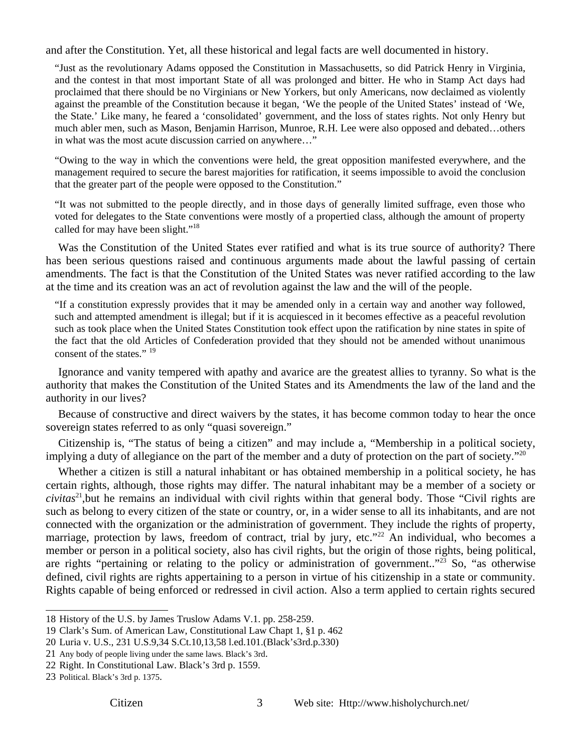and after the Constitution. Yet, all these historical and legal facts are well documented in history.

"Just as the revolutionary Adams opposed the Constitution in Massachusetts, so did Patrick Henry in Virginia, and the contest in that most important State of all was prolonged and bitter. He who in Stamp Act days had proclaimed that there should be no Virginians or New Yorkers, but only Americans, now declaimed as violently against the preamble of the Constitution because it began, 'We the people of the United States' instead of 'We, the State.' Like many, he feared a 'consolidated' government, and the loss of states rights. Not only Henry but much abler men, such as Mason, Benjamin Harrison, Munroe, R.H. Lee were also opposed and debated…others in what was the most acute discussion carried on anywhere…"

"Owing to the way in which the conventions were held, the great opposition manifested everywhere, and the management required to secure the barest majorities for ratification, it seems impossible to avoid the conclusion that the greater part of the people were opposed to the Constitution."

"It was not submitted to the people directly, and in those days of generally limited suffrage, even those who voted for delegates to the State conventions were mostly of a propertied class, although the amount of property called for may have been slight."<sup>18</sup>

Was the Constitution of the United States ever ratified and what is its true source of authority? There has been serious questions raised and continuous arguments made about the lawful passing of certain amendments. The fact is that the Constitution of the United States was never ratified according to the law at the time and its creation was an act of revolution against the law and the will of the people.

"If a constitution expressly provides that it may be amended only in a certain way and another way followed, such and attempted amendment is illegal; but if it is acquiesced in it becomes effective as a peaceful revolution such as took place when the United States Constitution took effect upon the ratification by nine states in spite of the fact that the old Articles of Confederation provided that they should not be amended without unanimous consent of the states." <sup>19</sup>

Ignorance and vanity tempered with apathy and avarice are the greatest allies to tyranny. So what is the authority that makes the Constitution of the United States and its Amendments the law of the land and the authority in our lives?

Because of constructive and direct waivers by the states, it has become common today to hear the once sovereign states referred to as only "quasi sovereign."

Citizenship is, "The status of being a citizen" and may include a, "Membership in a political society, implying a duty of allegiance on the part of the member and a duty of protection on the part of society."<sup>20</sup>

Whether a citizen is still a natural inhabitant or has obtained membership in a political society, he has certain rights, although, those rights may differ. The natural inhabitant may be a member of a society or *civitas*21,but he remains an individual with civil rights within that general body. Those "Civil rights are such as belong to every citizen of the state or country, or, in a wider sense to all its inhabitants, and are not connected with the organization or the administration of government. They include the rights of property, marriage, protection by laws, freedom of contract, trial by jury, etc."<sup>22</sup> An individual, who becomes a member or person in a political society, also has civil rights, but the origin of those rights, being political, are rights "pertaining or relating to the policy or administration of government.."<sup>23</sup> So, "as otherwise defined, civil rights are rights appertaining to a person in virtue of his citizenship in a state or community. Rights capable of being enforced or redressed in civil action. Also a term applied to certain rights secured

<sup>18</sup> History of the U.S. by James Truslow Adams V.1. pp. 258-259.

<sup>19</sup> Clark's Sum. of American Law, Constitutional Law Chapt 1, §1 p. 462

<sup>20</sup> Luria v. U.S., 231 U.S.9,34 S.Ct.10,13,58 l.ed.101.(Black's3rd.p.330)

<sup>21</sup> Any body of people living under the same laws. Black's 3rd.

<sup>22</sup> Right. In Constitutional Law. Black's 3rd p. 1559.

<sup>23</sup> Political. Black's 3rd p. 1375.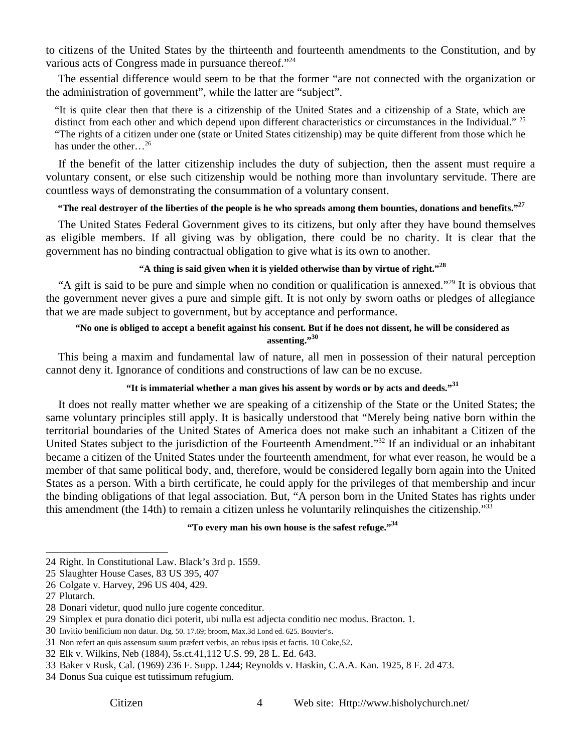to citizens of the United States by the thirteenth and fourteenth amendments to the Constitution, and by various acts of Congress made in pursuance thereof."<sup>24</sup>

The essential difference would seem to be that the former "are not connected with the organization or the administration of government", while the latter are "subject".

"It is quite clear then that there is a citizenship of the United States and a citizenship of a State, which are distinct from each other and which depend upon different characteristics or circumstances in the Individual." <sup>25</sup> "The rights of a citizen under one (state or United States citizenship) may be quite different from those which he has under the other…26

If the benefit of the latter citizenship includes the duty of subjection, then the assent must require a voluntary consent, or else such citizenship would be nothing more than involuntary servitude. There are countless ways of demonstrating the consummation of a voluntary consent.

### **"The real destroyer of the liberties of the people is he who spreads among them bounties, donations and benefits."<sup>27</sup>**

The United States Federal Government gives to its citizens, but only after they have bound themselves as eligible members. If all giving was by obligation, there could be no charity. It is clear that the government has no binding contractual obligation to give what is its own to another.

# **"A thing is said given when it is yielded otherwise than by virtue of right."<sup>28</sup>**

"A gift is said to be pure and simple when no condition or qualification is annexed."29 It is obvious that the government never gives a pure and simple gift. It is not only by sworn oaths or pledges of allegiance that we are made subject to government, but by acceptance and performance.

### **"No one is obliged to accept a benefit against his consent. But if he does not dissent, he will be considered as assenting."<sup>30</sup>**

This being a maxim and fundamental law of nature, all men in possession of their natural perception cannot deny it. Ignorance of conditions and constructions of law can be no excuse.

### **"It is immaterial whether a man gives his assent by words or by acts and deeds."31**

It does not really matter whether we are speaking of a citizenship of the State or the United States; the same voluntary principles still apply. It is basically understood that "Merely being native born within the territorial boundaries of the United States of America does not make such an inhabitant a Citizen of the United States subject to the jurisdiction of the Fourteenth Amendment."32 If an individual or an inhabitant became a citizen of the United States under the fourteenth amendment, for what ever reason, he would be a member of that same political body, and, therefore, would be considered legally born again into the United States as a person. With a birth certificate, he could apply for the privileges of that membership and incur the binding obligations of that legal association. But, "A person born in the United States has rights under this amendment (the 14th) to remain a citizen unless he voluntarily relinquishes the citizenship."33

# **"To every man his own house is the safest refuge."34**

<sup>24</sup> Right. In Constitutional Law. Black's 3rd p. 1559.

<sup>25</sup> Slaughter House Cases, 83 US 395, 407

<sup>26</sup> Colgate v. Harvey, 296 US 404, 429.

<sup>27</sup> Plutarch.

<sup>28</sup> Donari videtur, quod nullo jure cogente conceditur.

<sup>29</sup> Simplex et pura donatio dici poterit, ubi nulla est adjecta conditio nec modus. Bracton. 1.

<sup>30</sup> Invitio benificium non datur. Dig. 50. 17.69; broom, Max.3d Lond ed. 625. Bouvier's.

<sup>31</sup> Non refert an quis assensum suum præfert verbis, an rebus ipsis et factis. 10 Coke,52.

<sup>32</sup> Elk v. Wilkins, Neb (1884), 5s.ct.41,112 U.S. 99, 28 L. Ed. 643.

<sup>33</sup> Baker v Rusk, Cal. (1969) 236 F. Supp. 1244; Reynolds v. Haskin, C.A.A. Kan. 1925, 8 F. 2d 473.

<sup>34</sup> Donus Sua cuique est tutissimum refugium.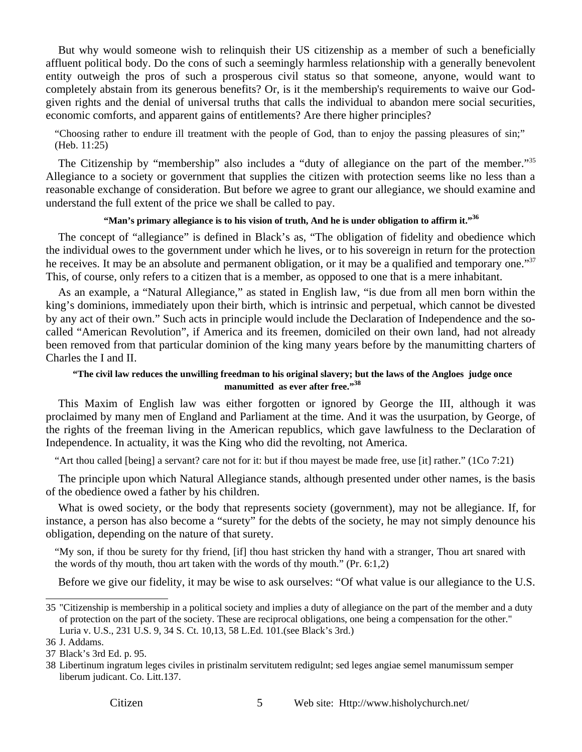But why would someone wish to relinquish their US citizenship as a member of such a beneficially affluent political body. Do the cons of such a seemingly harmless relationship with a generally benevolent entity outweigh the pros of such a prosperous civil status so that someone, anyone, would want to completely abstain from its generous benefits? Or, is it the membership's requirements to waive our Godgiven rights and the denial of universal truths that calls the individual to abandon mere social securities, economic comforts, and apparent gains of entitlements? Are there higher principles?

"Choosing rather to endure ill treatment with the people of God, than to enjoy the passing pleasures of sin;" (Heb. 11:25)

The Citizenship by "membership" also includes a "duty of allegiance on the part of the member."<sup>35</sup> Allegiance to a society or government that supplies the citizen with protection seems like no less than a reasonable exchange of consideration. But before we agree to grant our allegiance, we should examine and understand the full extent of the price we shall be called to pay.

### **"Man's primary allegiance is to his vision of truth, And he is under obligation to affirm it."<sup>36</sup>**

The concept of "allegiance" is defined in Black's as, "The obligation of fidelity and obedience which the individual owes to the government under which he lives, or to his sovereign in return for the protection he receives. It may be an absolute and permanent obligation, or it may be a qualified and temporary one."<sup>37</sup> This, of course, only refers to a citizen that is a member, as opposed to one that is a mere inhabitant.

As an example, a "Natural Allegiance," as stated in English law, "is due from all men born within the king's dominions, immediately upon their birth, which is intrinsic and perpetual, which cannot be divested by any act of their own." Such acts in principle would include the Declaration of Independence and the socalled "American Revolution", if America and its freemen, domiciled on their own land, had not already been removed from that particular dominion of the king many years before by the manumitting charters of Charles the I and II.

### **"The civil law reduces the unwilling freedman to his original slavery; but the laws of the Angloes judge once manumitted as ever after free."<sup>38</sup>**

This Maxim of English law was either forgotten or ignored by George the III, although it was proclaimed by many men of England and Parliament at the time. And it was the usurpation, by George, of the rights of the freeman living in the American republics, which gave lawfulness to the Declaration of Independence. In actuality, it was the King who did the revolting, not America.

"Art thou called [being] a servant? care not for it: but if thou mayest be made free, use [it] rather." (1Co 7:21)

The principle upon which Natural Allegiance stands, although presented under other names, is the basis of the obedience owed a father by his children.

What is owed society, or the body that represents society (government), may not be allegiance. If, for instance, a person has also become a "surety" for the debts of the society, he may not simply denounce his obligation, depending on the nature of that surety.

"My son, if thou be surety for thy friend, [if] thou hast stricken thy hand with a stranger, Thou art snared with the words of thy mouth, thou art taken with the words of thy mouth." (Pr. 6:1,2)

Before we give our fidelity, it may be wise to ask ourselves: "Of what value is our allegiance to the U.S.

<sup>35 &</sup>quot;Citizenship is membership in a political society and implies a duty of allegiance on the part of the member and a duty of protection on the part of the society. These are reciprocal obligations, one being a compensation for the other." Luria v. U.S., 231 U.S. 9, 34 S. Ct. 10,13, 58 L.Ed. 101.(see Black's 3rd.)

<sup>36</sup> J. Addams.

<sup>37</sup> Black's 3rd Ed. p. 95.

<sup>38</sup> Libertinum ingratum leges civiles in pristinalm servitutem redigulnt; sed leges angiae semel manumissum semper liberum judicant. Co. Litt.137.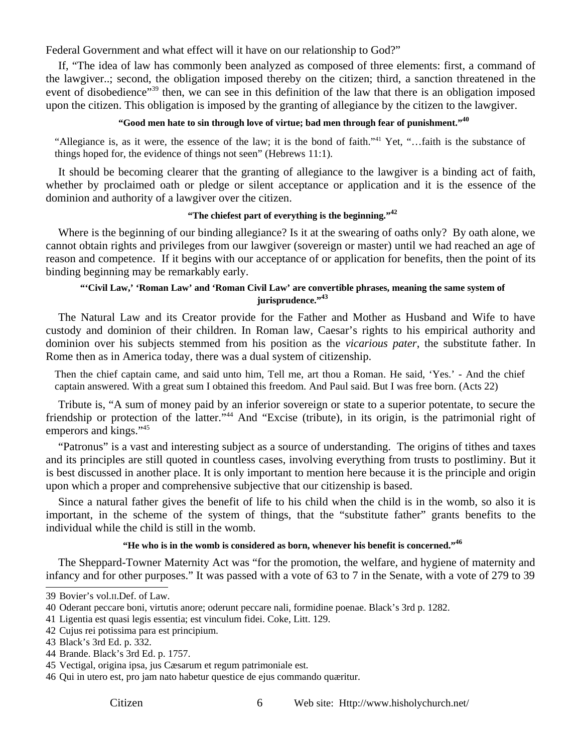Federal Government and what effect will it have on our relationship to God?"

If, "The idea of law has commonly been analyzed as composed of three elements: first, a command of the lawgiver..; second, the obligation imposed thereby on the citizen; third, a sanction threatened in the event of disobedience"<sup>39</sup> then, we can see in this definition of the law that there is an obligation imposed upon the citizen. This obligation is imposed by the granting of allegiance by the citizen to the lawgiver.

### **"Good men hate to sin through love of virtue; bad men through fear of punishment."<sup>40</sup>**

"Allegiance is, as it were, the essence of the law; it is the bond of faith."41 Yet, "…faith is the substance of things hoped for, the evidence of things not seen" (Hebrews 11:1).

It should be becoming clearer that the granting of allegiance to the lawgiver is a binding act of faith, whether by proclaimed oath or pledge or silent acceptance or application and it is the essence of the dominion and authority of a lawgiver over the citizen.

### **"The chiefest part of everything is the beginning."42**

Where is the beginning of our binding allegiance? Is it at the swearing of oaths only? By oath alone, we cannot obtain rights and privileges from our lawgiver (sovereign or master) until we had reached an age of reason and competence. If it begins with our acceptance of or application for benefits, then the point of its binding beginning may be remarkably early.

# **"'Civil Law,' 'Roman Law' and 'Roman Civil Law' are convertible phrases, meaning the same system of jurisprudence."<sup>43</sup>**

The Natural Law and its Creator provide for the Father and Mother as Husband and Wife to have custody and dominion of their children. In Roman law, Caesar's rights to his empirical authority and dominion over his subjects stemmed from his position as the *vicarious pater*, the substitute father. In Rome then as in America today, there was a dual system of citizenship.

Then the chief captain came, and said unto him, Tell me, art thou a Roman. He said, 'Yes.' - And the chief captain answered. With a great sum I obtained this freedom. And Paul said. But I was free born. (Acts 22)

Tribute is, "A sum of money paid by an inferior sovereign or state to a superior potentate, to secure the friendship or protection of the latter."44 And "Excise (tribute), in its origin, is the patrimonial right of emperors and kings."45

"Patronus" is a vast and interesting subject as a source of understanding. The origins of tithes and taxes and its principles are still quoted in countless cases, involving everything from trusts to postliminy. But it is best discussed in another place. It is only important to mention here because it is the principle and origin upon which a proper and comprehensive subjective that our citizenship is based.

Since a natural father gives the benefit of life to his child when the child is in the womb, so also it is important, in the scheme of the system of things, that the "substitute father" grants benefits to the individual while the child is still in the womb.

# **"He who is in the womb is considered as born, whenever his benefit is concerned."46**

The Sheppard-Towner Maternity Act was "for the promotion, the welfare, and hygiene of maternity and infancy and for other purposes." It was passed with a vote of 63 to 7 in the Senate, with a vote of 279 to 39

<sup>39</sup> Bovier's vol.II.Def. of Law.

<sup>40</sup> Oderant peccare boni, virtutis anore; oderunt peccare nali, formidine poenae. Black's 3rd p. 1282.

<sup>41</sup> Ligentia est quasi legis essentia; est vinculum fidei. Coke, Litt. 129.

<sup>42</sup> Cujus rei potissima para est principium.

<sup>43</sup> Black's 3rd Ed. p. 332.

<sup>44</sup> Brande. Black's 3rd Ed. p. 1757.

<sup>45</sup> Vectigal, origina ipsa, jus Cæsarum et regum patrimoniale est.

<sup>46</sup> Qui in utero est, pro jam nato habetur questice de ejus commando quæritur.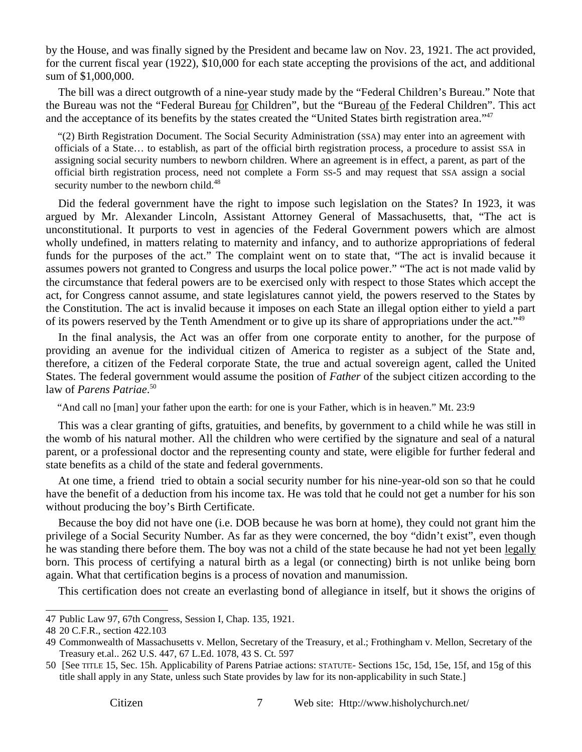by the House, and was finally signed by the President and became law on Nov. 23, 1921. The act provided, for the current fiscal year (1922), \$10,000 for each state accepting the provisions of the act, and additional sum of \$1,000,000.

The bill was a direct outgrowth of a nine-year study made by the "Federal Children's Bureau." Note that the Bureau was not the "Federal Bureau for Children", but the "Bureau of the Federal Children". This act and the acceptance of its benefits by the states created the "United States birth registration area."47

 "(2) Birth Registration Document. The Social Security Administration (SSA) may enter into an agreement with officials of a State… to establish, as part of the official birth registration process, a procedure to assist SSA in assigning social security numbers to newborn children. Where an agreement is in effect, a parent, as part of the official birth registration process, need not complete a Form SS-5 and may request that SSA assign a social security number to the newborn child.<sup>48</sup>

Did the federal government have the right to impose such legislation on the States? In 1923, it was argued by Mr. Alexander Lincoln, Assistant Attorney General of Massachusetts, that, "The act is unconstitutional. It purports to vest in agencies of the Federal Government powers which are almost wholly undefined, in matters relating to maternity and infancy, and to authorize appropriations of federal funds for the purposes of the act." The complaint went on to state that, "The act is invalid because it assumes powers not granted to Congress and usurps the local police power." "The act is not made valid by the circumstance that federal powers are to be exercised only with respect to those States which accept the act, for Congress cannot assume, and state legislatures cannot yield, the powers reserved to the States by the Constitution. The act is invalid because it imposes on each State an illegal option either to yield a part of its powers reserved by the Tenth Amendment or to give up its share of appropriations under the act."<sup>49</sup>

In the final analysis, the Act was an offer from one corporate entity to another, for the purpose of providing an avenue for the individual citizen of America to register as a subject of the State and, therefore, a citizen of the Federal corporate State, the true and actual sovereign agent, called the United States. The federal government would assume the position of *Father* of the subject citizen according to the law of *Parens Patriae*. 50

"And call no [man] your father upon the earth: for one is your Father, which is in heaven." Mt. 23:9

This was a clear granting of gifts, gratuities, and benefits, by government to a child while he was still in the womb of his natural mother. All the children who were certified by the signature and seal of a natural parent, or a professional doctor and the representing county and state, were eligible for further federal and state benefits as a child of the state and federal governments.

At one time, a friend tried to obtain a social security number for his nine-year-old son so that he could have the benefit of a deduction from his income tax. He was told that he could not get a number for his son without producing the boy's Birth Certificate.

Because the boy did not have one (i.e. DOB because he was born at home), they could not grant him the privilege of a Social Security Number. As far as they were concerned, the boy "didn't exist", even though he was standing there before them. The boy was not a child of the state because he had not yet been legally born. This process of certifying a natural birth as a legal (or connecting) birth is not unlike being born again. What that certification begins is a process of novation and manumission.

This certification does not create an everlasting bond of allegiance in itself, but it shows the origins of

<sup>47</sup> Public Law 97, 67th Congress, Session I, Chap. 135, 1921.

<sup>48 20</sup> C.F.R., section 422.103

<sup>49</sup> Commonwealth of Massachusetts v. Mellon, Secretary of the Treasury, et al.; Frothingham v. Mellon, Secretary of the Treasury et.al.. 262 U.S. 447, 67 L.Ed. 1078, 43 S. Ct. 597

<sup>50 [</sup>See TITLE 15, Sec. 15h. Applicability of Parens Patriae actions: STATUTE- Sections 15c, 15d, 15e, 15f, and 15g of this title shall apply in any State, unless such State provides by law for its non-applicability in such State.]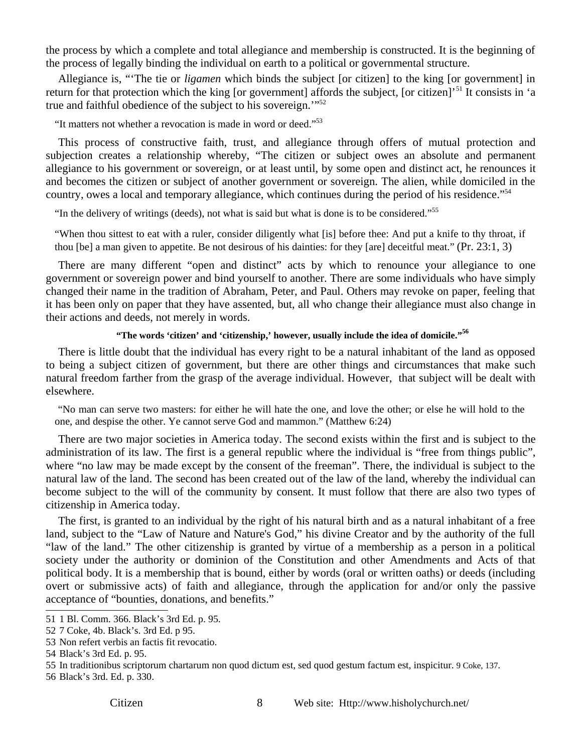the process by which a complete and total allegiance and membership is constructed. It is the beginning of the process of legally binding the individual on earth to a political or governmental structure.

Allegiance is, "'The tie or *ligamen* which binds the subject [or citizen] to the king [or government] in return for that protection which the king [or government] affords the subject, [or citizen]'<sup>51</sup> It consists in 'a true and faithful obedience of the subject to his sovereign.'"52

"It matters not whether a revocation is made in word or deed."53

This process of constructive faith, trust, and allegiance through offers of mutual protection and subjection creates a relationship whereby, "The citizen or subject owes an absolute and permanent allegiance to his government or sovereign, or at least until, by some open and distinct act, he renounces it and becomes the citizen or subject of another government or sovereign. The alien, while domiciled in the country, owes a local and temporary allegiance, which continues during the period of his residence."54

"In the delivery of writings (deeds), not what is said but what is done is to be considered."55

"When thou sittest to eat with a ruler, consider diligently what [is] before thee: And put a knife to thy throat, if thou [be] a man given to appetite. Be not desirous of his dainties: for they [are] deceitful meat." (Pr. 23:1, 3)

There are many different "open and distinct" acts by which to renounce your allegiance to one government or sovereign power and bind yourself to another. There are some individuals who have simply changed their name in the tradition of Abraham, Peter, and Paul. Others may revoke on paper, feeling that it has been only on paper that they have assented, but, all who change their allegiance must also change in their actions and deeds, not merely in words.

#### **"The words 'citizen' and 'citizenship,' however, usually include the idea of domicile."56**

There is little doubt that the individual has every right to be a natural inhabitant of the land as opposed to being a subject citizen of government, but there are other things and circumstances that make such natural freedom farther from the grasp of the average individual. However, that subject will be dealt with elsewhere.

 "No man can serve two masters: for either he will hate the one, and love the other; or else he will hold to the one, and despise the other. Ye cannot serve God and mammon." (Matthew 6:24)

There are two major societies in America today. The second exists within the first and is subject to the administration of its law. The first is a general republic where the individual is "free from things public", where "no law may be made except by the consent of the freeman". There, the individual is subject to the natural law of the land. The second has been created out of the law of the land, whereby the individual can become subject to the will of the community by consent. It must follow that there are also two types of citizenship in America today.

The first, is granted to an individual by the right of his natural birth and as a natural inhabitant of a free land, subject to the "Law of Nature and Nature's God," his divine Creator and by the authority of the full "law of the land." The other citizenship is granted by virtue of a membership as a person in a political society under the authority or dominion of the Constitution and other Amendments and Acts of that political body. It is a membership that is bound, either by words (oral or written oaths) or deeds (including overt or submissive acts) of faith and allegiance, through the application for and/or only the passive acceptance of "bounties, donations, and benefits."

<sup>51 1</sup> Bl. Comm. 366. Black's 3rd Ed. p. 95.

<sup>52 7</sup> Coke, 4b. Black's. 3rd Ed. p 95.

<sup>53</sup> Non refert verbis an factis fit revocatio.

<sup>54</sup> Black's 3rd Ed. p. 95.

<sup>55</sup> In traditionibus scriptorum chartarum non quod dictum est, sed quod gestum factum est, inspicitur. 9 Coke, 137.

<sup>56</sup> Black's 3rd. Ed. p. 330.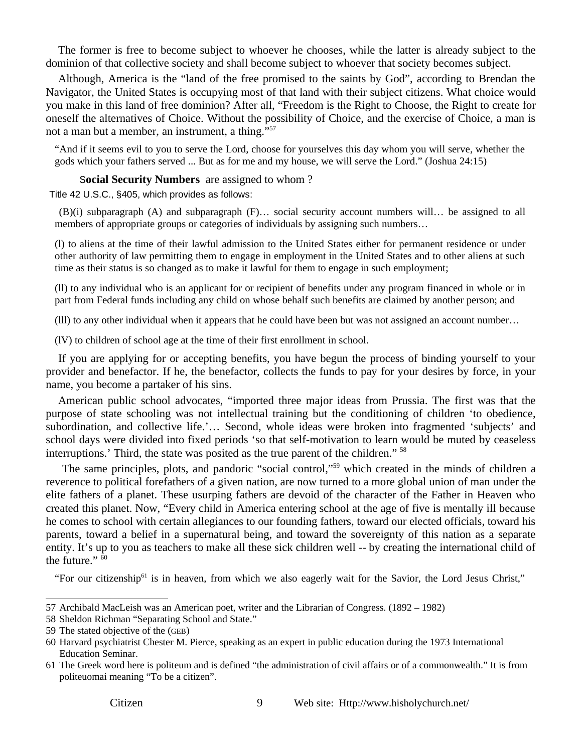The former is free to become subject to whoever he chooses, while the latter is already subject to the dominion of that collective society and shall become subject to whoever that society becomes subject.

Although, America is the "land of the free promised to the saints by God", according to Brendan the Navigator, the United States is occupying most of that land with their subject citizens. What choice would you make in this land of free dominion? After all, "Freedom is the Right to Choose, the Right to create for oneself the alternatives of Choice. Without the possibility of Choice, and the exercise of Choice, a man is not a man but a member, an instrument, a thing."57

"And if it seems evil to you to serve the Lord, choose for yourselves this day whom you will serve, whether the gods which your fathers served ... But as for me and my house, we will serve the Lord." (Joshua 24:15)

#### S**ocial Security Numbers** are assigned to whom ?

Title 42 U.S.C., §405, which provides as follows:

 (B)(i) subparagraph (A) and subparagraph (F)… social security account numbers will… be assigned to all members of appropriate groups or categories of individuals by assigning such numbers…

(l) to aliens at the time of their lawful admission to the United States either for permanent residence or under other authority of law permitting them to engage in employment in the United States and to other aliens at such time as their status is so changed as to make it lawful for them to engage in such employment;

(ll) to any individual who is an applicant for or recipient of benefits under any program financed in whole or in part from Federal funds including any child on whose behalf such benefits are claimed by another person; and

(lll) to any other individual when it appears that he could have been but was not assigned an account number…

(lV) to children of school age at the time of their first enrollment in school.

If you are applying for or accepting benefits, you have begun the process of binding yourself to your provider and benefactor. If he, the benefactor, collects the funds to pay for your desires by force, in your name, you become a partaker of his sins.

American public school advocates, "imported three major ideas from Prussia. The first was that the purpose of state schooling was not intellectual training but the conditioning of children 'to obedience, subordination, and collective life.'… Second, whole ideas were broken into fragmented 'subjects' and school days were divided into fixed periods 'so that self-motivation to learn would be muted by ceaseless interruptions.' Third, the state was posited as the true parent of the children." 58

 The same principles, plots, and pandoric "social control,"59 which created in the minds of children a reverence to political forefathers of a given nation, are now turned to a more global union of man under the elite fathers of a planet. These usurping fathers are devoid of the character of the Father in Heaven who created this planet. Now, "Every child in America entering school at the age of five is mentally ill because he comes to school with certain allegiances to our founding fathers, toward our elected officials, toward his parents, toward a belief in a supernatural being, and toward the sovereignty of this nation as a separate entity. It's up to you as teachers to make all these sick children well -- by creating the international child of the future." $60$ 

"For our citizenship<sup>61</sup> is in heaven, from which we also eagerly wait for the Savior, the Lord Jesus Christ,"

<sup>57</sup> Archibald MacLeish was an American poet, writer and the Librarian of Congress. (1892 – 1982)

<sup>58</sup> Sheldon Richman "Separating School and State."

<sup>59</sup> The stated objective of the (GEB)

<sup>60</sup> Harvard psychiatrist Chester M. Pierce, speaking as an expert in public education during the 1973 International Education Seminar.

<sup>61</sup> The Greek word here is politeum and is defined "the administration of civil affairs or of a commonwealth." It is from politeuomai meaning "To be a citizen".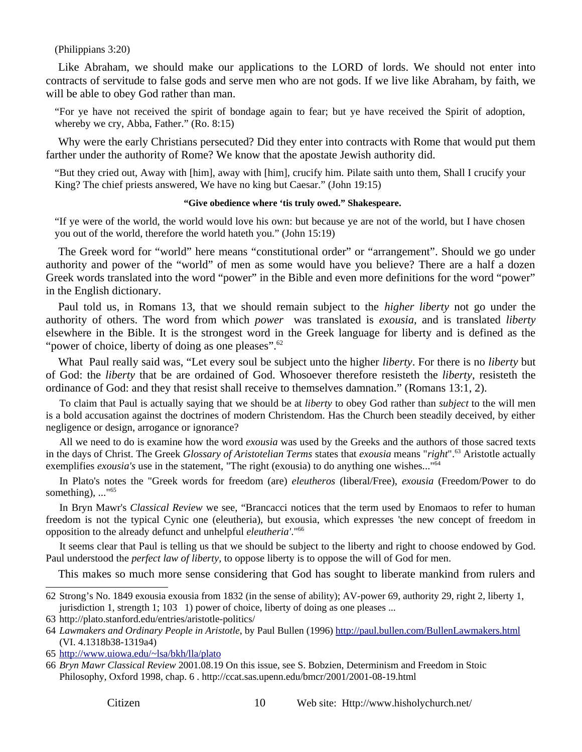#### (Philippians 3:20)

Like Abraham, we should make our applications to the LORD of lords. We should not enter into contracts of servitude to false gods and serve men who are not gods. If we live like Abraham, by faith, we will be able to obey God rather than man.

"For ye have not received the spirit of bondage again to fear; but ye have received the Spirit of adoption, whereby we cry, Abba, Father." (Ro. 8:15)

Why were the early Christians persecuted? Did they enter into contracts with Rome that would put them farther under the authority of Rome? We know that the apostate Jewish authority did.

"But they cried out, Away with [him], away with [him], crucify him. Pilate saith unto them, Shall I crucify your King? The chief priests answered, We have no king but Caesar." (John 19:15)

#### **"Give obedience where 'tis truly owed." Shakespeare.**

"If ye were of the world, the world would love his own: but because ye are not of the world, but I have chosen you out of the world, therefore the world hateth you." (John 15:19)

The Greek word for "world" here means "constitutional order" or "arrangement". Should we go under authority and power of the "world" of men as some would have you believe? There are a half a dozen Greek words translated into the word "power" in the Bible and even more definitions for the word "power" in the English dictionary.

Paul told us, in Romans 13, that we should remain subject to the *higher liberty* not go under the authority of others. The word from which *power* was translated is *exousia*, and is translated *liberty* elsewhere in the Bible. It is the strongest word in the Greek language for liberty and is defined as the "power of choice, liberty of doing as one pleases".<sup>62</sup>

What Paul really said was, "Let every soul be subject unto the higher *liberty*. For there is no *liberty* but of God: the *liberty* that be are ordained of God. Whosoever therefore resisteth the *liberty*, resisteth the ordinance of God: and they that resist shall receive to themselves damnation." (Romans 13:1, 2).

To claim that Paul is actually saying that we should be at *liberty* to obey God rather than *subject* to the will men is a bold accusation against the doctrines of modern Christendom. Has the Church been steadily deceived, by either negligence or design, arrogance or ignorance?

All we need to do is examine how the word *exousia* was used by the Greeks and the authors of those sacred texts in the days of Christ. The Greek *Glossary of Aristotelian Terms* states that *exousia* means "*right*".<sup>63</sup> Aristotle actually exemplifies *exousia's* use in the statement, "The right (exousia) to do anything one wishes..."<sup>64</sup>

In Plato's notes the "Greek words for freedom (are) *eleutheros* (liberal/Free), *exousia* (Freedom/Power to do something), ..."<sup>65</sup>

In Bryn Mawr's *Classical Review* we see, "Brancacci notices that the term used by Enomaos to refer to human freedom is not the typical Cynic one (eleutheria), but exousia, which expresses 'the new concept of freedom in opposition to the already defunct and unhelpful *eleutheria'*."66

It seems clear that Paul is telling us that we should be subject to the liberty and right to choose endowed by God. Paul understood the *perfect law of liberty,* to oppose liberty is to oppose the will of God for men.

This makes so much more sense considering that God has sought to liberate mankind from rulers and

<sup>62</sup> Strong's No. 1849 exousia exousia from 1832 (in the sense of ability); AV-power 69, authority 29, right 2, liberty 1, jurisdiction 1, strength 1; 103 1) power of choice, liberty of doing as one pleases ...

<sup>63</sup> http://plato.stanford.edu/entries/aristotle-politics/

<sup>64</sup> *Lawmakers and Ordinary People in Aristotle*, by Paul Bullen (1996) http://paul.bullen.com/BullenLawmakers.html (VI. 4.1318b38-1319a4)

<sup>65</sup> http://www.uiowa.edu/~lsa/bkh/lla/plato

<sup>66</sup> *Bryn Mawr Classical Review* 2001.08.19 On this issue, see S. Bobzien, Determinism and Freedom in Stoic Philosophy, Oxford 1998, chap. 6 . http://ccat.sas.upenn.edu/bmcr/2001/2001-08-19.html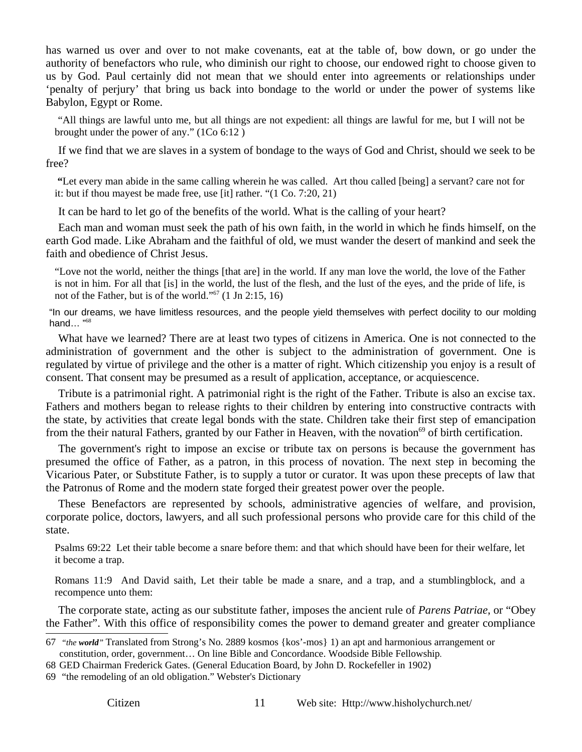has warned us over and over to not make covenants, eat at the table of, bow down, or go under the authority of benefactors who rule, who diminish our right to choose, our endowed right to choose given to us by God. Paul certainly did not mean that we should enter into agreements or relationships under 'penalty of perjury' that bring us back into bondage to the world or under the power of systems like Babylon, Egypt or Rome.

 "All things are lawful unto me, but all things are not expedient: all things are lawful for me, but I will not be brought under the power of any." (1Co 6:12 )

If we find that we are slaves in a system of bondage to the ways of God and Christ, should we seek to be free?

 **"**Let every man abide in the same calling wherein he was called. Art thou called [being] a servant? care not for it: but if thou mayest be made free, use [it] rather. "(1 Co. 7:20, 21)

It can be hard to let go of the benefits of the world. What is the calling of your heart?

Each man and woman must seek the path of his own faith, in the world in which he finds himself, on the earth God made. Like Abraham and the faithful of old, we must wander the desert of mankind and seek the faith and obedience of Christ Jesus.

"Love not the world, neither the things [that are] in the world. If any man love the world, the love of the Father is not in him. For all that [is] in the world, the lust of the flesh, and the lust of the eyes, and the pride of life, is not of the Father, but is of the world."<sup>67</sup>  $(1 \text{ Jn } 2:15, 16)$ 

"In our dreams, we have limitless resources, and the people yield themselves with perfect docility to our molding hand… "<sup>68</sup>

What have we learned? There are at least two types of citizens in America. One is not connected to the administration of government and the other is subject to the administration of government. One is regulated by virtue of privilege and the other is a matter of right. Which citizenship you enjoy is a result of consent. That consent may be presumed as a result of application, acceptance, or acquiescence.

Tribute is a patrimonial right. A patrimonial right is the right of the Father. Tribute is also an excise tax. Fathers and mothers began to release rights to their children by entering into constructive contracts with the state, by activities that create legal bonds with the state. Children take their first step of emancipation from the their natural Fathers, granted by our Father in Heaven, with the novation<sup>69</sup> of birth certification.

The government's right to impose an excise or tribute tax on persons is because the government has presumed the office of Father, as a patron, in this process of novation. The next step in becoming the Vicarious Pater, or Substitute Father, is to supply a tutor or curator. It was upon these precepts of law that the Patronus of Rome and the modern state forged their greatest power over the people.

These Benefactors are represented by schools, administrative agencies of welfare, and provision, corporate police, doctors, lawyers, and all such professional persons who provide care for this child of the state.

Psalms 69:22 Let their table become a snare before them: and that which should have been for their welfare, let it become a trap.

Romans 11:9 And David saith, Let their table be made a snare, and a trap, and a stumblingblock, and a recompence unto them:

The corporate state, acting as our substitute father, imposes the ancient rule of *Parens Patriae*, or "Obey the Father". With this office of responsibility comes the power to demand greater and greater compliance

69 "the remodeling of an old obligation." Webster's Dictionary

<sup>67</sup> *"the world"* Translated from Strong's No. 2889 kosmos {kos'-mos} 1) an apt and harmonious arrangement or constitution, order, government… On line Bible and Concordance. Woodside Bible Fellowship.

<sup>68</sup> GED Chairman Frederick Gates. (General Education Board, by John D. Rockefeller in 1902)